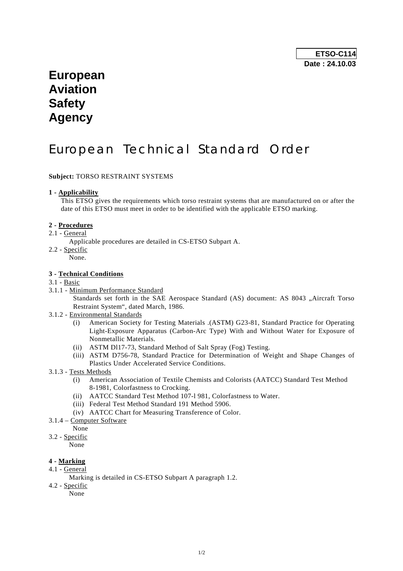## **European Aviation Safety Agency**

# European Technical Standard Order

### **Subject:** TORSO RESTRAINT SYSTEMS

#### **1 - Applicability**

 This ETSO gives the requirements which torso restraint systems that are manufactured on or after the date of this ETSO must meet in order to be identified with the applicable ETSO marking.

#### **2 - Procedures**

2.1 - General

Applicable procedures are detailed in CS-ETSO Subpart A.

- 2.2 Specific
	- None.

#### **3 - Technical Conditions**

#### 3.1 - Basic

3.1.1 - Minimum Performance Standard

Standards set forth in the SAE Aerospace Standard (AS) document: AS 8043 "Aircraft Torso Restraint System", dated March, 1986.

- 3.1.2 Environmental Standards
	- (i) American Society for Testing Materials .(ASTM) G23-81, Standard Practice for Operating Light-Exposure Apparatus (Carbon-Arc Type) With and Without Water for Exposure of Nonmetallic Materials.
	- (ii) ASTM Dl17-73, Standard Method of Salt Spray (Fog) Testing.
	- (iii) ASTM D756-78, Standard Practice for Determination of Weight and Shape Changes of Plastics Under Accelerated Service Conditions.
- 3.1.3 Tests Methods
	- (i) American Association of Textile Chemists and Colorists (AATCC) Standard Test Method 8-1981, Colorfastness to Crocking.
	- (ii) AATCC Standard Test Method 107-l 981, Colorfastness to Water.
	- (iii) Federal Test Method Standard 191 Method 5906.
	- (iv) AATCC Chart for Measuring Transference of Color.
- 3.1.4 Computer Software

None

3.2 - Specific

None

## **4 - Marking**

- 4.1 General
	- Marking is detailed in CS-ETSO Subpart A paragraph 1.2.
- 4.2 Specific

None